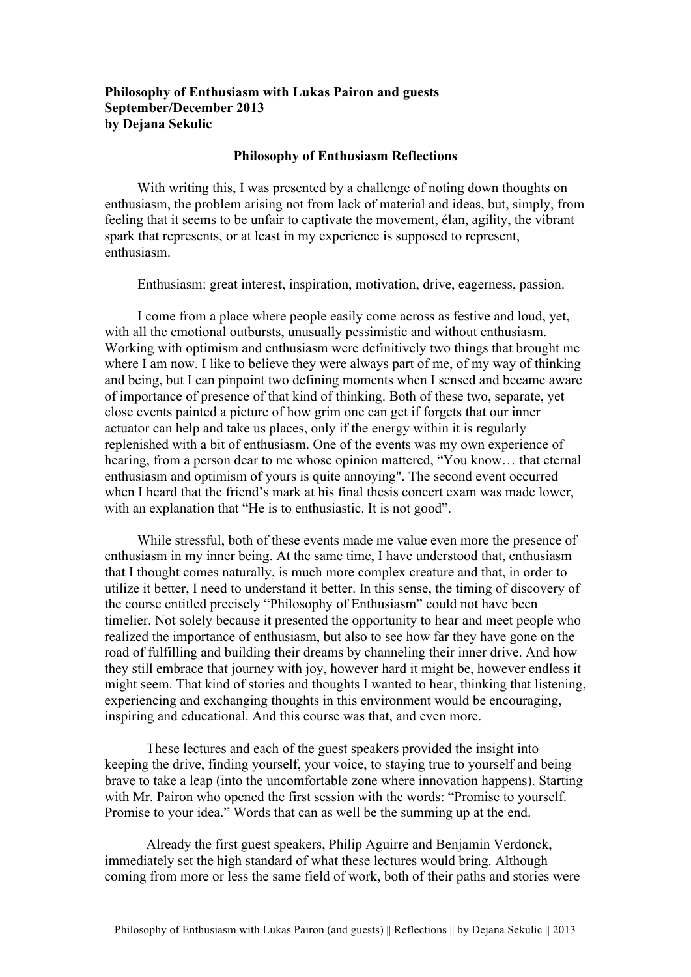## **Philosophy of Enthusiasm with Lukas Pairon and guests September/December 2013 by Dejana Sekulic**

## **Philosophy of Enthusiasm Reflections**

With writing this, I was presented by a challenge of noting down thoughts on enthusiasm, the problem arising not from lack of material and ideas, but, simply, from feeling that it seems to be unfair to captivate the movement, élan, agility, the vibrant spark that represents, or at least in my experience is supposed to represent, enthusiasm.

Enthusiasm: great interest, inspiration, motivation, drive, eagerness, passion.

I come from a place where people easily come across as festive and loud, yet, with all the emotional outbursts, unusually pessimistic and without enthusiasm. Working with optimism and enthusiasm were definitively two things that brought me where I am now. I like to believe they were always part of me, of my way of thinking and being, but I can pinpoint two defining moments when I sensed and became aware of importance of presence of that kind of thinking. Both of these two, separate, yet close events painted a picture of how grim one can get if forgets that our inner actuator can help and take us places, only if the energy within it is regularly replenished with a bit of enthusiasm. One of the events was my own experience of hearing, from a person dear to me whose opinion mattered, "You know… that eternal enthusiasm and optimism of yours is quite annoying". The second event occurred when I heard that the friend's mark at his final thesis concert exam was made lower, with an explanation that "He is to enthusiastic. It is not good".

While stressful, both of these events made me value even more the presence of enthusiasm in my inner being. At the same time, I have understood that, enthusiasm that I thought comes naturally, is much more complex creature and that, in order to utilize it better, I need to understand it better. In this sense, the timing of discovery of the course entitled precisely "Philosophy of Enthusiasm" could not have been timelier. Not solely because it presented the opportunity to hear and meet people who realized the importance of enthusiasm, but also to see how far they have gone on the road of fulfilling and building their dreams by channeling their inner drive. And how they still embrace that journey with joy, however hard it might be, however endless it might seem. That kind of stories and thoughts I wanted to hear, thinking that listening, experiencing and exchanging thoughts in this environment would be encouraging, inspiring and educational. And this course was that, and even more.

These lectures and each of the guest speakers provided the insight into keeping the drive, finding yourself, your voice, to staying true to yourself and being brave to take a leap (into the uncomfortable zone where innovation happens). Starting with Mr. Pairon who opened the first session with the words: "Promise to yourself. Promise to your idea." Words that can as well be the summing up at the end.

Already the first guest speakers, Philip Aguirre and Benjamin Verdonck, immediately set the high standard of what these lectures would bring. Although coming from more or less the same field of work, both of their paths and stories were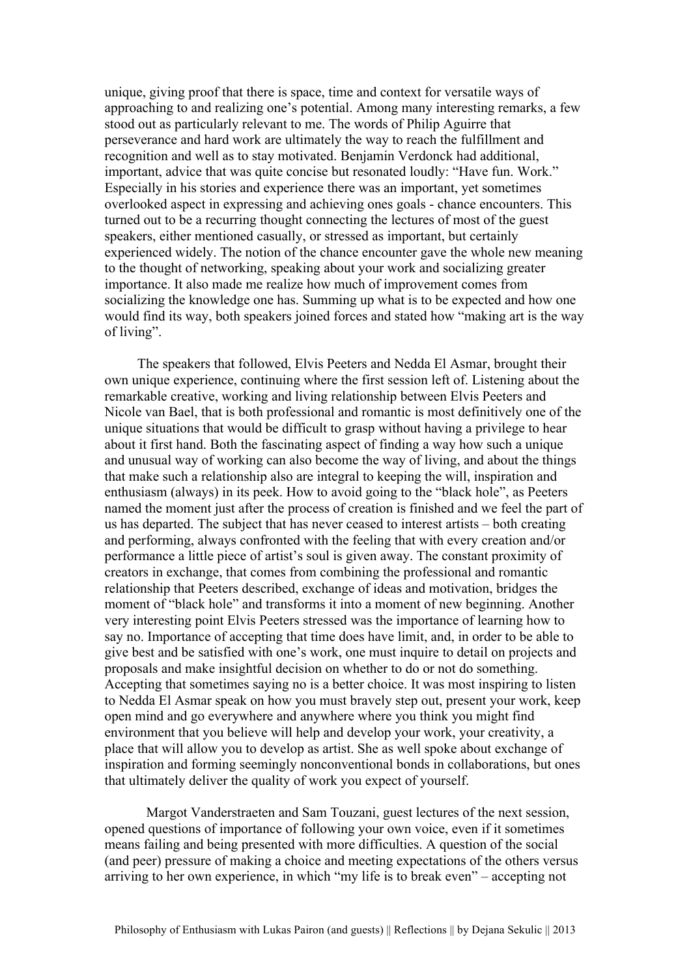unique, giving proof that there is space, time and context for versatile ways of approaching to and realizing one's potential. Among many interesting remarks, a few stood out as particularly relevant to me. The words of Philip Aguirre that perseverance and hard work are ultimately the way to reach the fulfillment and recognition and well as to stay motivated. Benjamin Verdonck had additional, important, advice that was quite concise but resonated loudly: "Have fun. Work." Especially in his stories and experience there was an important, yet sometimes overlooked aspect in expressing and achieving ones goals - chance encounters. This turned out to be a recurring thought connecting the lectures of most of the guest speakers, either mentioned casually, or stressed as important, but certainly experienced widely. The notion of the chance encounter gave the whole new meaning to the thought of networking, speaking about your work and socializing greater importance. It also made me realize how much of improvement comes from socializing the knowledge one has. Summing up what is to be expected and how one would find its way, both speakers joined forces and stated how "making art is the way of living".

The speakers that followed, Elvis Peeters and Nedda El Asmar, brought their own unique experience, continuing where the first session left of. Listening about the remarkable creative, working and living relationship between Elvis Peeters and Nicole van Bael, that is both professional and romantic is most definitively one of the unique situations that would be difficult to grasp without having a privilege to hear about it first hand. Both the fascinating aspect of finding a way how such a unique and unusual way of working can also become the way of living, and about the things that make such a relationship also are integral to keeping the will, inspiration and enthusiasm (always) in its peek. How to avoid going to the "black hole", as Peeters named the moment just after the process of creation is finished and we feel the part of us has departed. The subject that has never ceased to interest artists – both creating and performing, always confronted with the feeling that with every creation and/or performance a little piece of artist's soul is given away. The constant proximity of creators in exchange, that comes from combining the professional and romantic relationship that Peeters described, exchange of ideas and motivation, bridges the moment of "black hole" and transforms it into a moment of new beginning. Another very interesting point Elvis Peeters stressed was the importance of learning how to say no. Importance of accepting that time does have limit, and, in order to be able to give best and be satisfied with one's work, one must inquire to detail on projects and proposals and make insightful decision on whether to do or not do something. Accepting that sometimes saying no is a better choice. It was most inspiring to listen to Nedda El Asmar speak on how you must bravely step out, present your work, keep open mind and go everywhere and anywhere where you think you might find environment that you believe will help and develop your work, your creativity, a place that will allow you to develop as artist. She as well spoke about exchange of inspiration and forming seemingly nonconventional bonds in collaborations, but ones that ultimately deliver the quality of work you expect of yourself.

Margot Vanderstraeten and Sam Touzani, guest lectures of the next session, opened questions of importance of following your own voice, even if it sometimes means failing and being presented with more difficulties. A question of the social (and peer) pressure of making a choice and meeting expectations of the others versus arriving to her own experience, in which "my life is to break even" – accepting not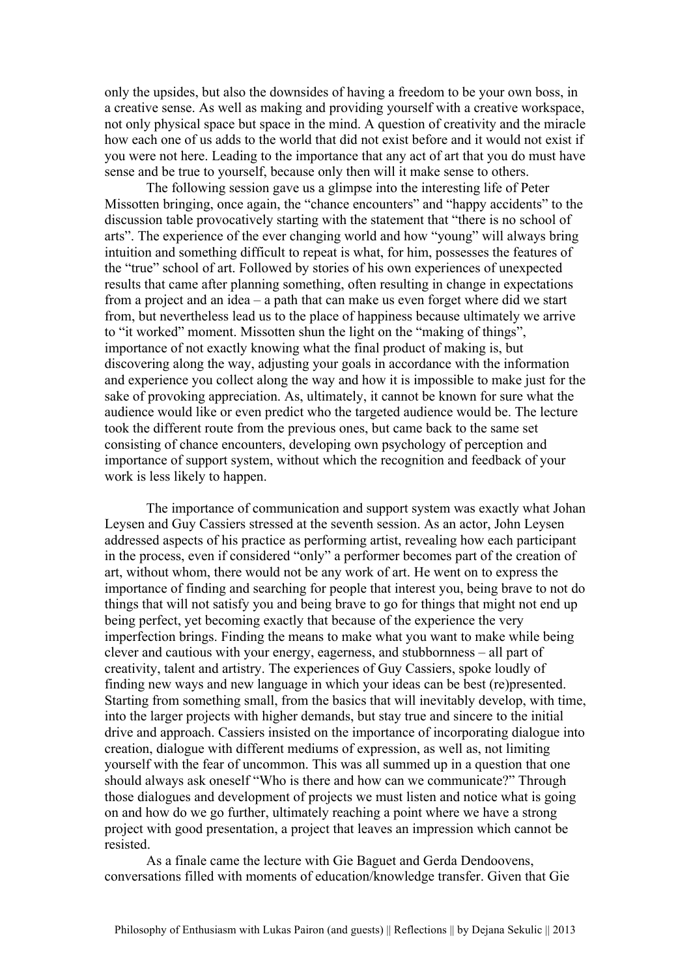only the upsides, but also the downsides of having a freedom to be your own boss, in a creative sense. As well as making and providing yourself with a creative workspace, not only physical space but space in the mind. A question of creativity and the miracle how each one of us adds to the world that did not exist before and it would not exist if you were not here. Leading to the importance that any act of art that you do must have sense and be true to yourself, because only then will it make sense to others.

The following session gave us a glimpse into the interesting life of Peter Missotten bringing, once again, the "chance encounters" and "happy accidents" to the discussion table provocatively starting with the statement that "there is no school of arts". The experience of the ever changing world and how "young" will always bring intuition and something difficult to repeat is what, for him, possesses the features of the "true" school of art. Followed by stories of his own experiences of unexpected results that came after planning something, often resulting in change in expectations from a project and an idea – a path that can make us even forget where did we start from, but nevertheless lead us to the place of happiness because ultimately we arrive to "it worked" moment. Missotten shun the light on the "making of things", importance of not exactly knowing what the final product of making is, but discovering along the way, adjusting your goals in accordance with the information and experience you collect along the way and how it is impossible to make just for the sake of provoking appreciation. As, ultimately, it cannot be known for sure what the audience would like or even predict who the targeted audience would be. The lecture took the different route from the previous ones, but came back to the same set consisting of chance encounters, developing own psychology of perception and importance of support system, without which the recognition and feedback of your work is less likely to happen.

The importance of communication and support system was exactly what Johan Leysen and Guy Cassiers stressed at the seventh session. As an actor, John Leysen addressed aspects of his practice as performing artist, revealing how each participant in the process, even if considered "only" a performer becomes part of the creation of art, without whom, there would not be any work of art. He went on to express the importance of finding and searching for people that interest you, being brave to not do things that will not satisfy you and being brave to go for things that might not end up being perfect, yet becoming exactly that because of the experience the very imperfection brings. Finding the means to make what you want to make while being clever and cautious with your energy, eagerness, and stubbornness – all part of creativity, talent and artistry. The experiences of Guy Cassiers, spoke loudly of finding new ways and new language in which your ideas can be best (re)presented. Starting from something small, from the basics that will inevitably develop, with time, into the larger projects with higher demands, but stay true and sincere to the initial drive and approach. Cassiers insisted on the importance of incorporating dialogue into creation, dialogue with different mediums of expression, as well as, not limiting yourself with the fear of uncommon. This was all summed up in a question that one should always ask oneself "Who is there and how can we communicate?" Through those dialogues and development of projects we must listen and notice what is going on and how do we go further, ultimately reaching a point where we have a strong project with good presentation, a project that leaves an impression which cannot be resisted.

As a finale came the lecture with Gie Baguet and Gerda Dendoovens, conversations filled with moments of education/knowledge transfer. Given that Gie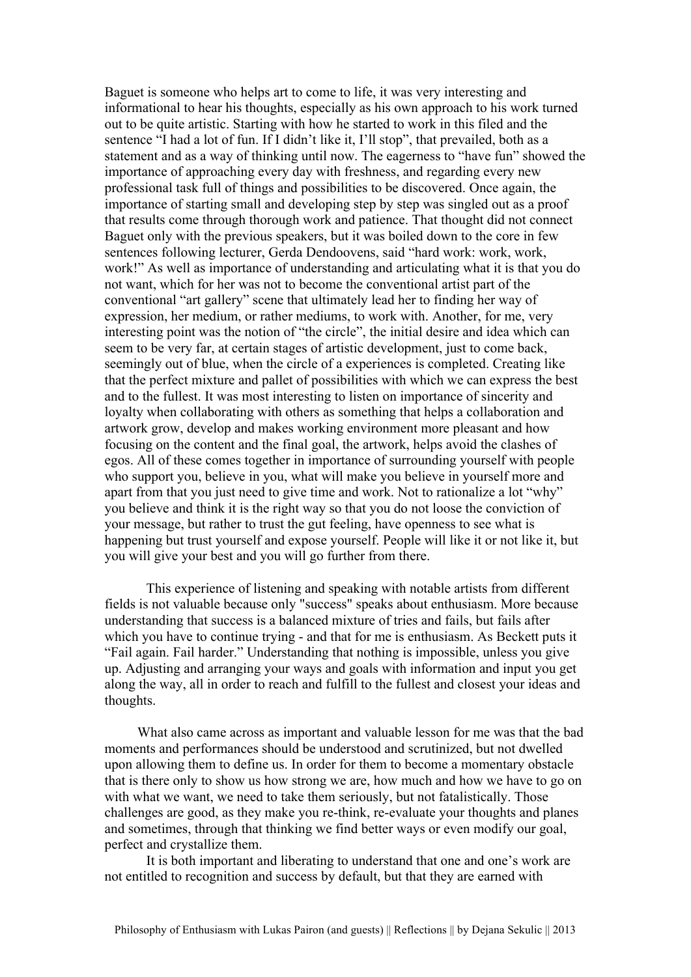Baguet is someone who helps art to come to life, it was very interesting and informational to hear his thoughts, especially as his own approach to his work turned out to be quite artistic. Starting with how he started to work in this filed and the sentence "I had a lot of fun. If I didn't like it, I'll stop", that prevailed, both as a statement and as a way of thinking until now. The eagerness to "have fun" showed the importance of approaching every day with freshness, and regarding every new professional task full of things and possibilities to be discovered. Once again, the importance of starting small and developing step by step was singled out as a proof that results come through thorough work and patience. That thought did not connect Baguet only with the previous speakers, but it was boiled down to the core in few sentences following lecturer, Gerda Dendoovens, said "hard work: work, work, work!" As well as importance of understanding and articulating what it is that you do not want, which for her was not to become the conventional artist part of the conventional "art gallery" scene that ultimately lead her to finding her way of expression, her medium, or rather mediums, to work with. Another, for me, very interesting point was the notion of "the circle", the initial desire and idea which can seem to be very far, at certain stages of artistic development, just to come back, seemingly out of blue, when the circle of a experiences is completed. Creating like that the perfect mixture and pallet of possibilities with which we can express the best and to the fullest. It was most interesting to listen on importance of sincerity and loyalty when collaborating with others as something that helps a collaboration and artwork grow, develop and makes working environment more pleasant and how focusing on the content and the final goal, the artwork, helps avoid the clashes of egos. All of these comes together in importance of surrounding yourself with people who support you, believe in you, what will make you believe in yourself more and apart from that you just need to give time and work. Not to rationalize a lot "why" you believe and think it is the right way so that you do not loose the conviction of your message, but rather to trust the gut feeling, have openness to see what is happening but trust yourself and expose yourself. People will like it or not like it, but you will give your best and you will go further from there.

This experience of listening and speaking with notable artists from different fields is not valuable because only "success" speaks about enthusiasm. More because understanding that success is a balanced mixture of tries and fails, but fails after which you have to continue trying - and that for me is enthusiasm. As Beckett puts it "Fail again. Fail harder." Understanding that nothing is impossible, unless you give up. Adjusting and arranging your ways and goals with information and input you get along the way, all in order to reach and fulfill to the fullest and closest your ideas and thoughts.

What also came across as important and valuable lesson for me was that the bad moments and performances should be understood and scrutinized, but not dwelled upon allowing them to define us. In order for them to become a momentary obstacle that is there only to show us how strong we are, how much and how we have to go on with what we want, we need to take them seriously, but not fatalistically. Those challenges are good, as they make you re-think, re-evaluate your thoughts and planes and sometimes, through that thinking we find better ways or even modify our goal, perfect and crystallize them.

It is both important and liberating to understand that one and one's work are not entitled to recognition and success by default, but that they are earned with